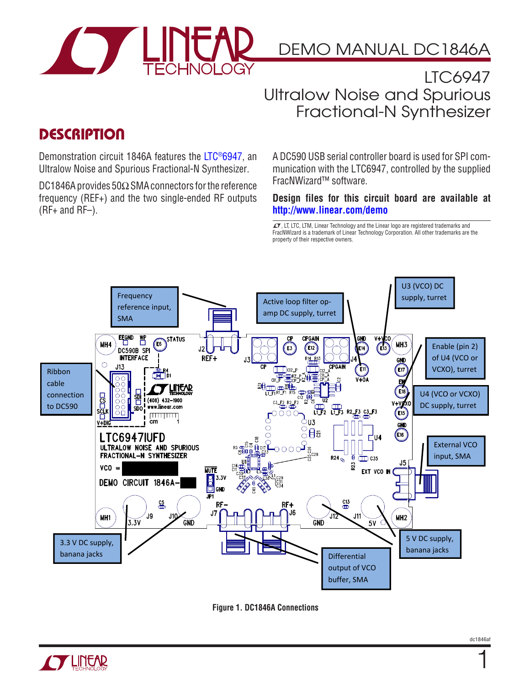

DEMO MANUAL DC1846A

### LTC6947 Ultralow Noise and Spurious Fractional-N Synthesizer

### **DESCRIPTION**

Demonstration circuit 1846A features the [LTC®6947,](http://www.linear.com/LTC6947) an Ultralow Noise and Spurious Fractional-N Synthesizer.

DC1846A provides 50 $\Omega$  SMA connectors for the reference frequency (REF+) and the two single-ended RF outputs (RF+ and RF–).

A DC590 USB serial controller board is used for SPI communication with the LTC6947, controlled by the supplied FracNWizard™ software.

#### **Design files for this circuit board are available at <http://www.linear.com/demo>**

 $\sqrt{J}$ , LT, LTC, LTM, Linear Technology and the Linear logo are registered trademarks and FracNWizard is a trademark of Linear Technology Corporation. All other trademarks are the property of their respective owners.







1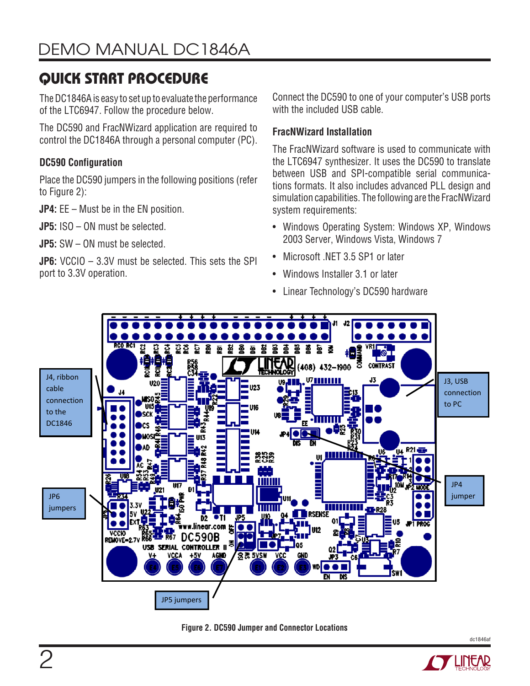# QUICK START PROCEDURE

The DC1846A is easy to set up to evaluate the performance of the LTC6947. Follow the procedure below.

The DC590 and FracNWizard application are required to control the DC1846A through a personal computer (PC).

### **DC590 Configuration**

Place the DC590 jumpers in the following positions (refer to Figure 2):

**JP4:** EE – Must be in the EN position.

**JP5:** ISO – ON must be selected.

**JP5:** SW – ON must be selected.

**JP6:** VCCIO – 3.3V must be selected. This sets the SPI port to 3.3V operation.

Connect the DC590 to one of your computer's USB ports with the included USB cable.

### **FracNWizard Installation**

The FracNWizard software is used to communicate with the LTC6947 synthesizer. It uses the DC590 to translate between USB and SPI-compatible serial communications formats. It also includes advanced PLL design and simulation capabilities. The following are the FracNWizard system requirements:

- Windows Operating System: Windows XP, Windows 2003 Server, Windows Vista, Windows 7
- Microsoft .NET 3.5 SP1 or later
- Windows Installer 3.1 or later
- Linear Technology's DC590 hardware



**Figure 2. DC590 Jumper and Connector Locations**

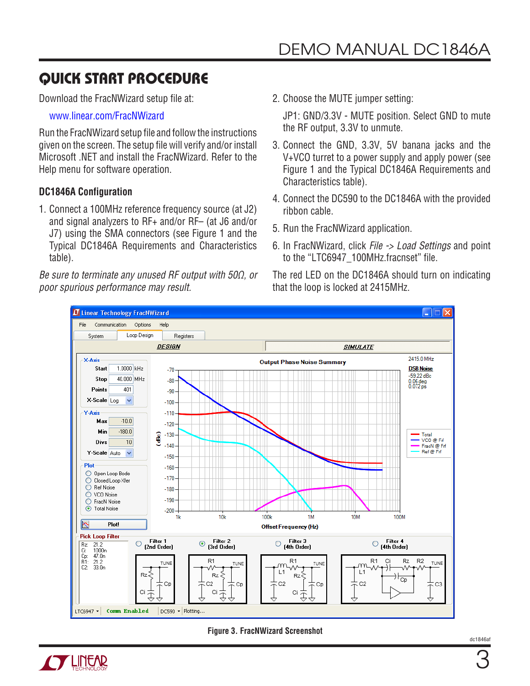## QUICK START PROCEDURE

Download the FracNWizard setup file at:

www.linear.com/FracNWizard

Run the FracNWizard setup file and followthe instructions given on the screen. The setup file will verify and/or install Microsoft .NET and install the FracNWizard. Refer to the Help menu for software operation.

#### **DC1846A Configuration**

1. Connect a 100MHz reference frequency source (at J2) and signal analyzers to RF+ and/or RF– (at J6 and/or J7) using the SMA connectors (see Figure 1 and the Typical DC1846A Requirements and Characteristics table).

*Be sure to terminate any unused RF output with 50Ω, or poor spurious performance may result.*

2. Choose the MUTE jumper setting:

JP1: GND/3.3V - MUTE position. Select GND to mute the RF output, 3.3V to unmute.

- 3. Connect the GND, 3.3V, 5V banana jacks and the V+VCO turret to a power supply and apply power (see Figure 1 and the Typical DC1846A Requirements and Characteristics table).
- 4. Connect the DC590 to the DC1846A with the provided ribbon cable.
- 5. Run the FracNWizard application.
- 6. In FracNWizard, click *File -> Load Settings* and point to the "LTC6947\_100MHz.fracnset" file.

The red LED on the DC1846A should turn on indicating that the loop is locked at 2415MHz.



**Figure 3. FracNWizard Screenshot**

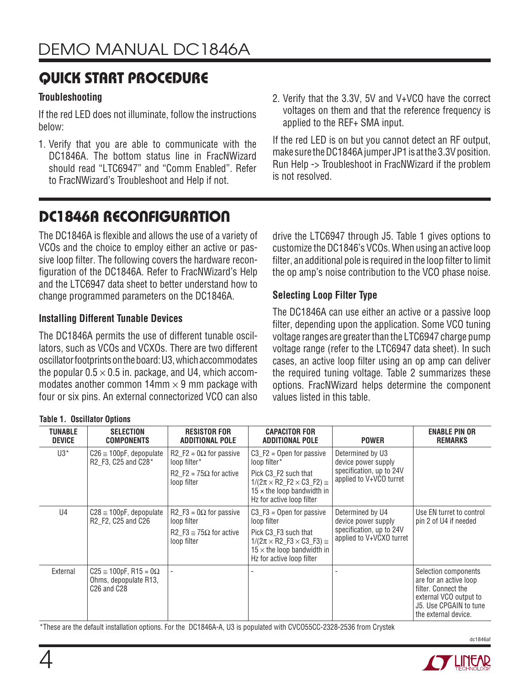### QUICK START PROCEDURE

#### **Troubleshooting**

If the red LED does not illuminate, follow the instructions below:

- 1. Verify that you are able to communicate with the DC1846A. The bottom status line in FracNWizard should read "LTC6947" and "Comm Enabled". Refer to FracNWizard's Troubleshoot and Help if not.
- 2. Verify that the 3.3V, 5V and V+VCO have the correct voltages on them and that the reference frequency is applied to the REF+ SMA input.

If the red LED is on but you cannot detect an RF output, make sure the DC1846A jumper JP1 is at the 3.3V position. Run Help -> Troubleshoot in FracNWizard if the problem is not resolved.

# DC1846A RECONFIGURATION

The DC1846A is flexible and allows the use of a variety of VCOs and the choice to employ either an active or passive loop filter. The following covers the hardware reconfiguration of the DC1846A. Refer to FracNWizard's Help and the LTC6947 data sheet to better understand how to change programmed parameters on the DC1846A.

#### **Installing Different Tunable Devices**

**Table 1. Oscillator Options**

The DC1846A permits the use of different tunable oscillators, such as VCOs and VCXOs. There are two different oscillator footprints on the board: U3, which accommodates the popular  $0.5 \times 0.5$  in. package, and U4, which accommodates another common  $14 \text{mm} \times 9 \text{mm}$  package with four or six pins. An external connectorized VCO can also

drive the LTC6947 through J5. Table 1 gives options to customize the DC1846's VCOs. When using an active loop filter, an additional pole is required in the loop filter to limit the op amp's noise contribution to the VCO phase noise.

### **Selecting Loop Filter Type**

The DC1846A can use either an active or a passive loop filter, depending upon the application. Some VCO tuning voltage ranges are greater than the LTC6947 charge pump voltage range (refer to the LTC6947 data sheet). In such cases, an active loop filter using an op amp can deliver the required tuning voltage. Table 2 summarizes these options. FracNWizard helps determine the component values listed in this table.

| TUNABLE<br><b>DEVICE</b> | <b>SELECTION</b><br><b>COMPONENTS</b>                                                                  | <b>RESISTOR FOR</b><br><b>ADDITIONAL POLE</b>                                                       | <b>CAPACITOR FOR</b><br><b>ADDITIONAL POLE</b>                                                                                                                                                                  | <b>POWER</b>                                                                                    | <b>ENABLE PIN OR</b><br><b>REMARKS</b>                                                                                                            |
|--------------------------|--------------------------------------------------------------------------------------------------------|-----------------------------------------------------------------------------------------------------|-----------------------------------------------------------------------------------------------------------------------------------------------------------------------------------------------------------------|-------------------------------------------------------------------------------------------------|---------------------------------------------------------------------------------------------------------------------------------------------------|
| $U3^*$                   | $C26 \approx 100pF$ , depopulate<br>R2_F3, C25 and C28*                                                | $R2_F2 = 0\Omega$ for passive<br>loop filter*<br>R2 F2 = $75\Omega$ for active<br>loop filter       | $C3_F2 =$ Open for passive<br>loop filter*<br>Pick C3_F2 such that<br>$1/(2\pi \times R2 \text{ F2} \times C3 \text{ F2}) \approx$<br>$15 \times$ the loop bandwidth in<br>Hz for active loop filter            | Determined by U3<br>device power supply<br>specification, up to 24V<br>applied to V+VCO turret  |                                                                                                                                                   |
| U <sub>4</sub>           | $C28 \approx 100pF$ , depopulate<br>R2_F2, C25 and C26                                                 | $R2_F3 = 0\Omega$ for passive<br>loop filter<br>R2 F3 $\cong$ 75 $\Omega$ for active<br>loop filter | $C3_F3 =$ Open for passive<br>loop filter<br>Pick C <sub>3</sub> F <sub>3</sub> such that<br>$1/(2\pi \times R2$ F3 $\times$ C3 F3) $\approx$<br>$15 \times$ the loop bandwidth in<br>Hz for active loop filter | Determined by U4<br>device power supply<br>specification, up to 24V<br>applied to V+VCXO turret | Use EN turret to control<br>pin 2 of U4 if needed                                                                                                 |
| External                 | $C25 \approx 100pF$ , R15 = 0 $\Omega$<br>Ohms, depopulate R13,<br>C <sub>26</sub> and C <sub>28</sub> |                                                                                                     |                                                                                                                                                                                                                 |                                                                                                 | Selection components<br>are for an active loop<br>filter. Connect the<br>external VCO output to<br>J5. Use CPGAIN to tune<br>the external device. |

### \*These are the default installation options. For the DC1846A-A, U3 is populated with CVCO55CC-2328-2536 from Crystek

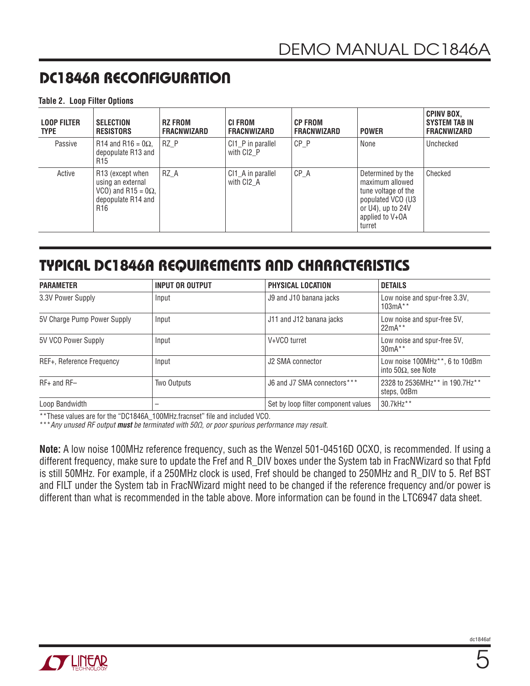## DC1846A RECONFIGURATION

#### **Table 2. Loop Filter Options**

| <b>LOOP FILTER</b><br><b>TYPE</b> | <b>SELECTION</b><br><b>RESISTORS</b>                                                                                     | <b>RZ FROM</b><br><b>FRACNWIZARD</b> | <b>CI FROM</b><br><b>FRACNWIZARD</b>        | <b>CP FROM</b><br>FRACNWIZARD | <b>POWER</b>                                                                                                                       | <b>CPINV BOX,</b><br><b>SYSTEM TAB IN</b><br><b>FRACNWIZARD</b> |
|-----------------------------------|--------------------------------------------------------------------------------------------------------------------------|--------------------------------------|---------------------------------------------|-------------------------------|------------------------------------------------------------------------------------------------------------------------------------|-----------------------------------------------------------------|
| Passive                           | R14 and R16 = $0\Omega$ ,<br>depopulate R13 and<br>R <sub>15</sub>                                                       | RZ P                                 | CI1_P in parallel<br>with CI <sub>2</sub> P | $CP$ $P$                      | None                                                                                                                               | Unchecked                                                       |
| Active                            | R <sub>13</sub> (except when<br>using an external<br>VCO) and R15 = $0\Omega$ ,<br>depopulate R14 and<br>R <sub>16</sub> | RZ A                                 | CI1_A in parallel<br>with CI <sub>2</sub> A | $CP$ $A$                      | Determined by the<br>maximum allowed<br>tune voltage of the<br>populated VCO (U3<br>or U4), up to 24V<br>applied to V+OA<br>turret | Checked                                                         |

### TYPICAL DC1846A REQUIREMENTS AND CHARACTERISTICS

| <b>PARAMETER</b>            | <b>INPUT OR OUTPUT</b> | PHYSICAL LOCATION                   | <b>DETAILS</b>                                                             |
|-----------------------------|------------------------|-------------------------------------|----------------------------------------------------------------------------|
| 3.3V Power Supply           | Input                  | J9 and J10 banana jacks             | Low noise and spur-free 3.3V,<br>$103mA**$                                 |
| 5V Charge Pump Power Supply | Input                  | J11 and J12 banana jacks            | Low noise and spur-free 5V,<br>$22mA**$                                    |
| 5V VCO Power Supply         | Input                  | V+VCO turret                        | Low noise and spur-free 5V,<br>$30mA**$                                    |
| REF+, Reference Frequency   | Input                  | J2 SMA connector                    | Low noise 100MHz <sup>**</sup> , 6 to 10dBm<br>into 50 $\Omega$ , see Note |
| $RF+$ and $RF-$             | Two Outputs            | J6 and J7 SMA connectors***         | 2328 to 2536MHz <sup>**</sup> in 190.7Hz <sup>**</sup><br>steps, OdBm      |
| Loop Bandwidth              | -                      | Set by loop filter component values | 30.7kHz**                                                                  |

\*\*These values are for the "DC1846A\_100MHz.fracnset" file and included VCO.

\*\*\**Any unused RF output must be terminated with 50Ω, or poor spurious performance may result.*

**Note:** A low noise 100MHz reference frequency, such as the Wenzel 501-04516D OCXO, is recommended. If using a different frequency, make sure to update the Fref and R\_DIV boxes under the System tab in FracNWizard so that Fpfd is still 50MHz. For example, if a 250MHz clock is used, Fref should be changed to 250MHz and R\_DIV to 5. Ref BST and FILT under the System tab in FracNWizard might need to be changed if the reference frequency and/or power is different than what is recommended in the table above. More information can be found in the LTC6947 data sheet.

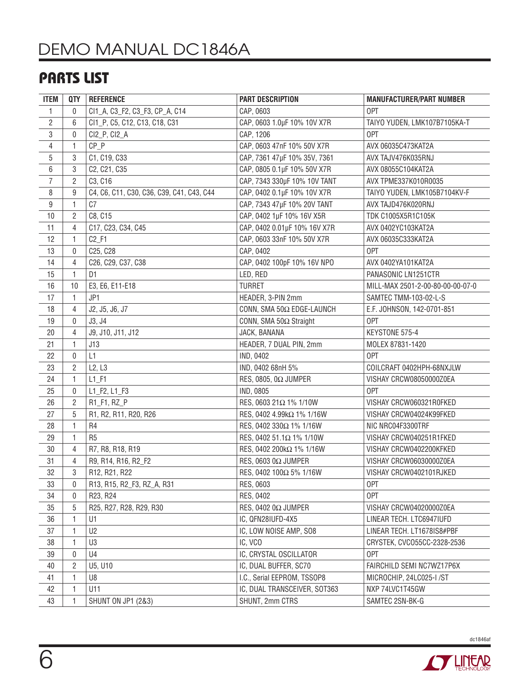# DEMO MANUAL DC1846A

### PARTS LIST

| <b>ITEM</b>    | <b>QTY</b>     | <b>REFERENCE</b>                          | PART DESCRIPTION             | <b>MANUFACTURER/PART NUMBER</b>  |
|----------------|----------------|-------------------------------------------|------------------------------|----------------------------------|
| 1              | 0              | CI1_A, C3_F2, C3_F3, CP_A, C14            | CAP, 0603                    | 0PT                              |
| $\overline{2}$ | 6              | CI1_P, C5, C12, C13, C18, C31             | CAP, 0603 1.0µF 10% 10V X7R  | TAIYO YUDEN, LMK107B7105KA-T     |
| $\,3$          | 0              | CI2_P, CI2_A                              | CAP, 1206                    | 0PT                              |
| $\overline{4}$ | 1              | $CP_P$                                    | CAP, 0603 47nF 10% 50V X7R   | AVX 06035C473KAT2A               |
| 5              | 3              | C1, C19, C33                              | CAP, 7361 47µF 10% 35V, 7361 | AVX TAJV476K035RNJ               |
| 6              | 3              | C2, C21, C35                              | CAP, 0805 0.1µF 10% 50V X7R  | AVX 08055C104KAT2A               |
| $\overline{7}$ | $\overline{2}$ | C3, C16                                   | CAP, 7343 330µF 10% 10V TANT | AVX TPME337K010R0035             |
| 8              | 9              | C4, C6, C11, C30, C36, C39, C41, C43, C44 | CAP, 0402 0.1µF 10% 10V X7R  | TAIYO YUDEN, LMK105B7104KV-F     |
| 9              | 1              | C <sub>7</sub>                            | CAP, 7343 47µF 10% 20V TANT  | AVX TAJD476K020RNJ               |
| 10             | $\overline{2}$ | C8, C15                                   | CAP, 0402 1µF 10% 16V X5R    | TDK C1005X5R1C105K               |
| 11             | 4              | C17, C23, C34, C45                        | CAP, 0402 0.01µF 10% 16V X7R | AVX 0402YC103KAT2A               |
| 12             | 1              | $C2$ <sub>_F1</sub>                       | CAP, 0603 33nF 10% 50V X7R   | AVX 06035C333KAT2A               |
| 13             | $\mathbf 0$    | C25, C28                                  | CAP, 0402                    | 0PT                              |
| 14             | 4              | C26, C29, C37, C38                        | CAP, 0402 100pF 10% 16V NPO  | AVX 0402YA101KAT2A               |
| 15             | 1              | D <sub>1</sub>                            | LED, RED                     | PANASONIC LN1251CTR              |
| 16             | 10             | E3, E6, E11-E18                           | TURRET                       | MILL-MAX 2501-2-00-80-00-00-07-0 |
| 17             | $\mathbf{1}$   | JP1                                       | HEADER, 3-PIN 2mm            | SAMTEC TMM-103-02-L-S            |
| 18             | 4              | J2, J5, J6, J7                            | CONN, SMA 50Ω EDGE-LAUNCH    | E.F. JOHNSON, 142-0701-851       |
| 19             | 0              | J3, J4                                    | CONN, SMA 50Ω Straight       | 0PT                              |
| 20             | 4              | J9, J10, J11, J12                         | JACK, BANANA                 | KEYSTONE 575-4                   |
| 21             | 1              | J13                                       | HEADER, 7 DUAL PIN, 2mm      | MOLEX 87831-1420                 |
| 22             | 0              | L1                                        | IND, 0402                    | 0PT                              |
| 23             | $\overline{2}$ | L2, L3                                    | IND, 0402 68nH 5%            | COILCRAFT 0402HPH-68NXJLW        |
| 24             | 1              | $L1$ $F1$                                 | RES, 0805, 0 $\Omega$ JUMPER | VISHAY CRCW08050000Z0EA          |
| 25             | $\mathbf 0$    | $L1_F2, L1_F3$                            | IND, 0805                    | 0PT                              |
| 26             | $\overline{2}$ | R1_F1, RZ_P                               | RES, 0603 21Ω 1% 1/10W       | VISHAY CRCW060321R0FKED          |
| 27             | 5              | R1, R2, R11, R20, R26                     | RES, 0402 4.99kΩ 1% 1/16W    | VISHAY CRCW04024K99FKED          |
| 28             | 1              | R4                                        | RES, 0402 330Ω 1% 1/16W      | NIC NRC04F3300TRF                |
| 29             | 1              | R <sub>5</sub>                            | RES, 0402 51.1Ω 1% 1/10W     | VISHAY CRCW040251R1FKED          |
| 30             | $\overline{4}$ | R7, R8, R18, R19                          | RES, 0402 200kΩ 1% 1/16W     | VISHAY CRCW0402200KFKED          |
| 31             | $\overline{4}$ | R9, R14, R16, R2_F2                       | RES, 0603 0Ω JUMPER          | VISHAY CRCW06030000Z0EA          |
| 32             | 3              | R12, R21, R22                             | RES, 0402 100Ω 5% 1/16W      | VISHAY CRCW0402101RJKED          |
| 33             | 0              | R13, R15, R2_F3, RZ_A, R31                | RES, 0603                    | 0PT                              |
| 34             | 0              | R23, R24                                  | RES, 0402                    | 0PT                              |
| 35             | 5              | R25, R27, R28, R29, R30                   | RES, 0402 0Ω JUMPER          | VISHAY CRCW04020000Z0EA          |
| 36             | 1              | U1                                        | IC, QFN28IUFD-4X5            | LINEAR TECH. LTC6947IUFD         |
| 37             | 1              | U <sub>2</sub>                            | IC, LOW NOISE AMP, SO8       | LINEAR TECH. LT1678IS8#PBF       |
| 38             | 1              | U3                                        | IC, VCO                      | CRYSTEK, CVCO55CC-2328-2536      |
| 39             | 0              | U4                                        | IC, CRYSTAL OSCILLATOR       | 0PT                              |
| 40             | 2              | U5, U10                                   | IC, DUAL BUFFER, SC70        | FAIRCHILD SEMI NC7WZ17P6X        |
| 41             | 1              | U8                                        | I.C., Serial EEPROM, TSSOP8  | MICROCHIP, 24LC025-I /ST         |
| 42             | 1              | U11                                       | IC, DUAL TRANSCEIVER, SOT363 | NXP 74LVC1T45GW                  |
| 43             | 1              | <b>SHUNT ON JP1 (2&amp;3)</b>             | SHUNT, 2mm CTRS              | SAMTEC 2SN-BK-G                  |



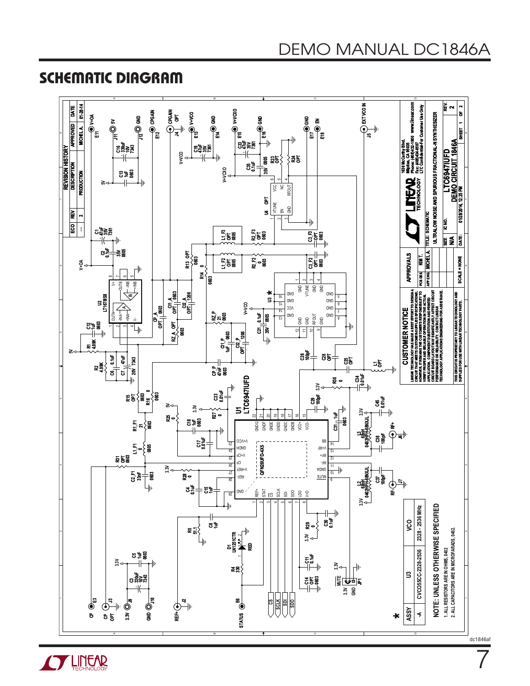### SCHEMATIC DIAGRAM

**OF LINEAR** 



dc1846af

7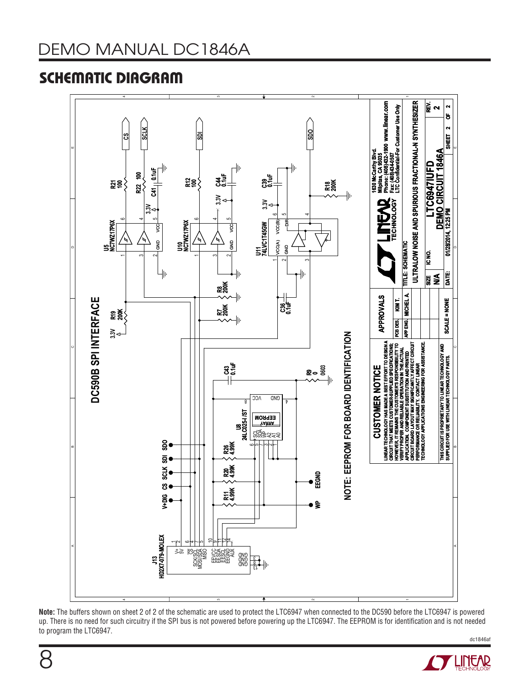## SCHEMATIC DIAGRAM



**Note:** The buffers shown on sheet 2 of 2 of the schematic are used to protect the LTC6947 when connected to the DC590 before the LTC6947 is powered up. There is no need for such circuitry if the SPI bus is not powered before powering up the LTC6947. The EEPROM is for identification and is not needed to program the LTC6947.

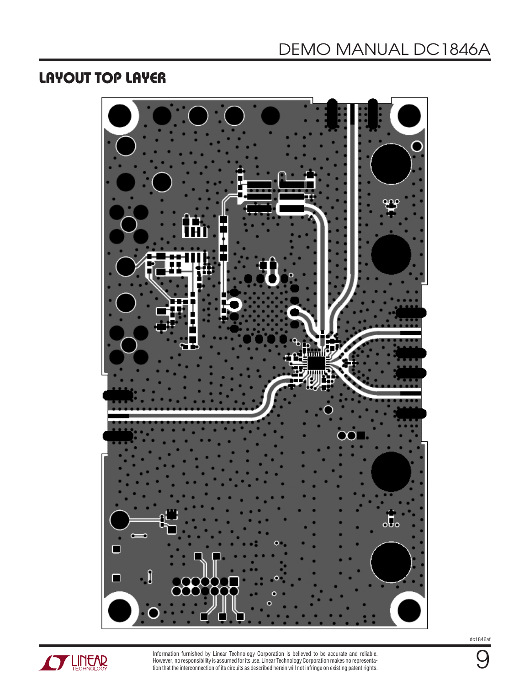### LAYOUT TOP LAYER





Information furnished by Linear Technology Corporation is believed to be accurate and reliable. However, no responsibility is assumed forits use. Linear Technology Corporationmakes no representation that the interconnection of its circuits as described herein will not infringe on existing patent rights.